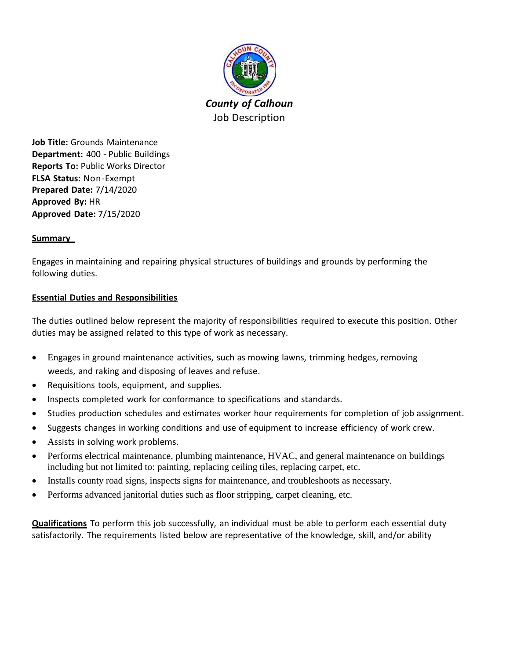

**Job Title:** Grounds Maintenance **Department:** 400 - Public Buildings **Reports To:** Public Works Director **FLSA Status:** Non-Exempt **Prepared Date:** 7/14/2020 **Approved By:** HR **Approved Date:** 7/15/2020

# **Summary**

Engages in maintaining and repairing physical structures of buildings and grounds by performing the following duties.

# **Essential Duties and Responsibilities**

The duties outlined below represent the majority of responsibilities required to execute this position. Other duties may be assigned related to this type of work as necessary.

- Engages in ground maintenance activities, such as mowing lawns, trimming hedges, removing weeds, and raking and disposing of leaves and refuse.
- Requisitions tools, equipment, and supplies.
- Inspects completed work for conformance to specifications and standards.
- Studies production schedules and estimates worker hour requirements for completion of job assignment.
- Suggests changes in working conditions and use of equipment to increase efficiency of work crew.
- Assists in solving work problems.
- Performs electrical maintenance, plumbing maintenance, HVAC, and general maintenance on buildings including but not limited to: painting, replacing ceiling tiles, replacing carpet, etc.
- Installs county road signs, inspects signs for maintenance, and troubleshoots as necessary.
- Performs advanced janitorial duties such as floor stripping, carpet cleaning, etc.

**Qualifications** To perform this job successfully, an individual must be able to perform each essential duty satisfactorily. The requirements listed below are representative of the knowledge, skill, and/or ability